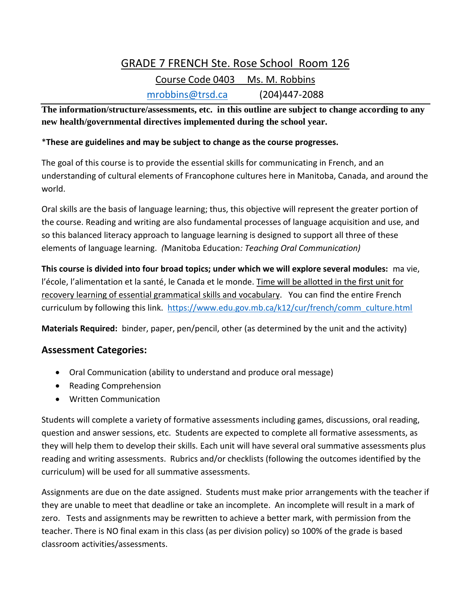## GRADE 7 FRENCH Ste. Rose School Room 126 Course Code 0403 Ms. M. Robbins [mrobbins@trsd.ca](mailto:mrobbins@trsd.ca) (204)447-2088

**The information/structure/assessments, etc. in this outline are subject to change according to any new health/governmental directives implemented during the school year.** 

## \***These are guidelines and may be subject to change as the course progresses.**

The goal of this course is to provide the essential skills for communicating in French, and an understanding of cultural elements of Francophone cultures here in Manitoba, Canada, and around the world.

Oral skills are the basis of language learning; thus, this objective will represent the greater portion of the course. Reading and writing are also fundamental processes of language acquisition and use, and so this balanced literacy approach to language learning is designed to support all three of these elements of language learning. *(*Manitoba Education*: Teaching Oral Communication)*

**This course is divided into four broad topics; under which we will explore several modules:** ma vie, l'école, l'alimentation et la santé, le Canada et le monde. Time will be allotted in the first unit for recovery learning of essential grammatical skills and vocabulary. You can find the entire French curriculum by following this link. [https://www.edu.gov.mb.ca/k12/cur/french/comm\\_culture.html](https://www.edu.gov.mb.ca/k12/cur/french/comm_culture.html)

**Materials Required:** binder, paper, pen/pencil, other (as determined by the unit and the activity)

## **Assessment Categories:**

- Oral Communication (ability to understand and produce oral message)
- Reading Comprehension
- Written Communication

Students will complete a variety of formative assessments including games, discussions, oral reading, question and answer sessions, etc. Students are expected to complete all formative assessments, as they will help them to develop their skills. Each unit will have several oral summative assessments plus reading and writing assessments. Rubrics and/or checklists (following the outcomes identified by the curriculum) will be used for all summative assessments.

Assignments are due on the date assigned. Students must make prior arrangements with the teacher if they are unable to meet that deadline or take an incomplete. An incomplete will result in a mark of zero. Tests and assignments may be rewritten to achieve a better mark, with permission from the teacher. There is NO final exam in this class (as per division policy) so 100% of the grade is based classroom activities/assessments.